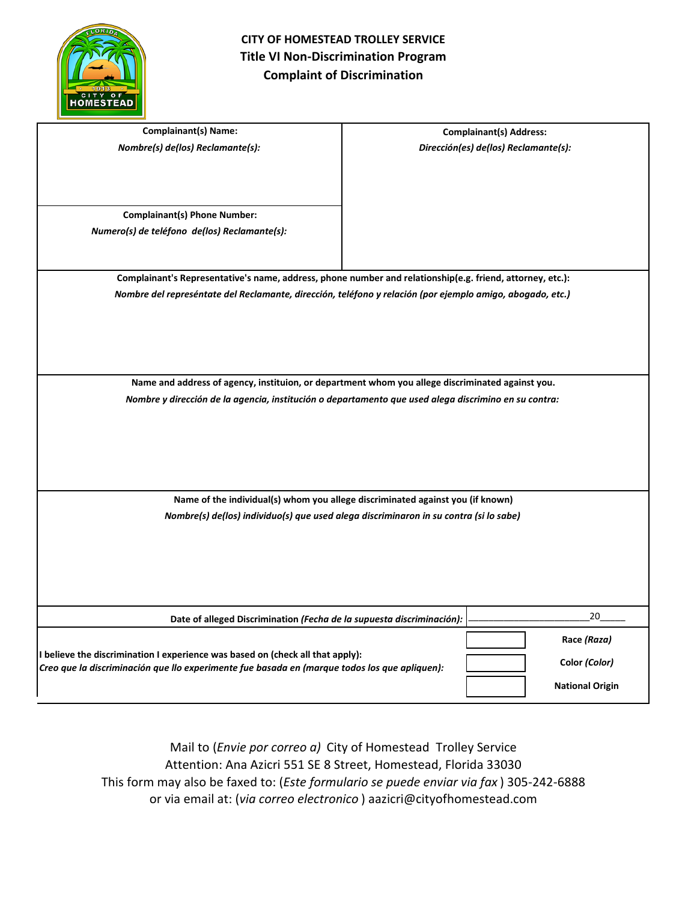

| <b>Complainant(s) Name:</b>                                                                                                                                                     |  | <b>Complainant(s) Address:</b>       |
|---------------------------------------------------------------------------------------------------------------------------------------------------------------------------------|--|--------------------------------------|
| Nombre(s) de(los) Reclamante(s):                                                                                                                                                |  | Dirección(es) de(los) Reclamante(s): |
|                                                                                                                                                                                 |  |                                      |
|                                                                                                                                                                                 |  |                                      |
|                                                                                                                                                                                 |  |                                      |
| <b>Complainant(s) Phone Number:</b>                                                                                                                                             |  |                                      |
| Numero(s) de teléfono de(los) Reclamante(s):                                                                                                                                    |  |                                      |
|                                                                                                                                                                                 |  |                                      |
|                                                                                                                                                                                 |  |                                      |
| Complainant's Representative's name, address, phone number and relationship(e.g. friend, attorney, etc.):                                                                       |  |                                      |
| Nombre del represéntate del Reclamante, dirección, teléfono y relación (por ejemplo amigo, abogado, etc.)                                                                       |  |                                      |
|                                                                                                                                                                                 |  |                                      |
|                                                                                                                                                                                 |  |                                      |
|                                                                                                                                                                                 |  |                                      |
|                                                                                                                                                                                 |  |                                      |
| Name and address of agency, instituion, or department whom you allege discriminated against you.                                                                                |  |                                      |
| Nombre y dirección de la agencia, institución o departamento que used alega discrimino en su contra:                                                                            |  |                                      |
|                                                                                                                                                                                 |  |                                      |
|                                                                                                                                                                                 |  |                                      |
|                                                                                                                                                                                 |  |                                      |
|                                                                                                                                                                                 |  |                                      |
|                                                                                                                                                                                 |  |                                      |
| Name of the individual(s) whom you allege discriminated against you (if known)                                                                                                  |  |                                      |
| Nombre(s) de(los) individuo(s) que used alega discriminaron in su contra (si lo sabe)                                                                                           |  |                                      |
|                                                                                                                                                                                 |  |                                      |
|                                                                                                                                                                                 |  |                                      |
|                                                                                                                                                                                 |  |                                      |
|                                                                                                                                                                                 |  |                                      |
|                                                                                                                                                                                 |  |                                      |
| Date of alleged Discrimination (Fecha de la supuesta discriminación):                                                                                                           |  | 20                                   |
| I believe the discrimination I experience was based on (check all that apply):<br>Creo que la discriminación que llo experimente fue basada en (marque todos los que apliquen): |  | Race (Raza)                          |
|                                                                                                                                                                                 |  |                                      |
|                                                                                                                                                                                 |  | Color (Color)                        |
|                                                                                                                                                                                 |  | <b>National Origin</b>               |
|                                                                                                                                                                                 |  |                                      |

Mail to (*Envie por correo a)* City of Homestead Trolley Service Attention: Ana Azicri 551 SE 8 Street, Homestead, Florida 33030 This form may also be faxed to: (*Este formulario se puede enviar via fax* ) 305-242-6888 or via email at: (*via correo electronico* ) aazicri@cityofhomestead.com